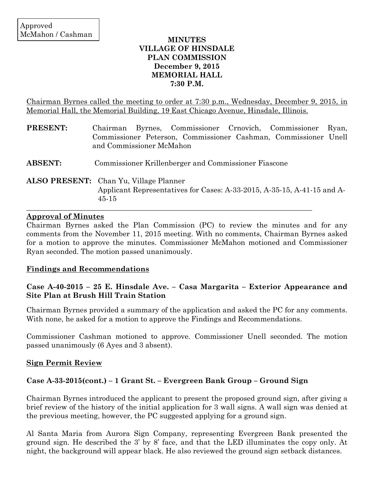### **MINUTES VILLAGE OF HINSDALE PLAN COMMISSION December 9, 2015 MEMORIAL HALL 7:30 P.M.**

Chairman Byrnes called the meeting to order at 7:30 p.m., Wednesday, December 9, 2015, in Memorial Hall, the Memorial Building, 19 East Chicago Avenue, Hinsdale, Illinois.

| <b>PRESENT:</b> | Chairman Byrnes, Commissioner Crnovich, Commissioner<br>Ryan,<br>Commissioner Peterson, Commissioner Cashman, Commissioner Unell<br>and Commissioner McMahon |
|-----------------|--------------------------------------------------------------------------------------------------------------------------------------------------------------|
| <b>ABSENT:</b>  | Commissioner Krillenberger and Commissioner Fiascone                                                                                                         |
|                 | ALSO PRESENT: Chan Yu, Village Planner<br>Applicant Representatives for Cases: A-33-2015, A-35-15, A-41-15 and A-<br>$45 - 15$                               |

### **Approval of Minutes**

Chairman Byrnes asked the Plan Commission (PC) to review the minutes and for any comments from the November 11, 2015 meeting. With no comments, Chairman Byrnes asked for a motion to approve the minutes. Commissioner McMahon motioned and Commissioner Ryan seconded. The motion passed unanimously.

### **Findings and Recommendations**

## **Case A-40-2015 – 25 E. Hinsdale Ave. – Casa Margarita – Exterior Appearance and Site Plan at Brush Hill Train Station**

Chairman Byrnes provided a summary of the application and asked the PC for any comments. With none, he asked for a motion to approve the Findings and Recommendations.

Commissioner Cashman motioned to approve. Commissioner Unell seconded. The motion passed unanimously (6 Ayes and 3 absent).

## **Sign Permit Review**

## **Case A-33-2015(cont.) – 1 Grant St. – Evergreen Bank Group – Ground Sign**

Chairman Byrnes introduced the applicant to present the proposed ground sign, after giving a brief review of the history of the initial application for 3 wall signs. A wall sign was denied at the previous meeting, however, the PC suggested applying for a ground sign.

Al Santa Maria from Aurora Sign Company, representing Evergreen Bank presented the ground sign. He described the 3' by 8' face, and that the LED illuminates the copy only. At night, the background will appear black. He also reviewed the ground sign setback distances.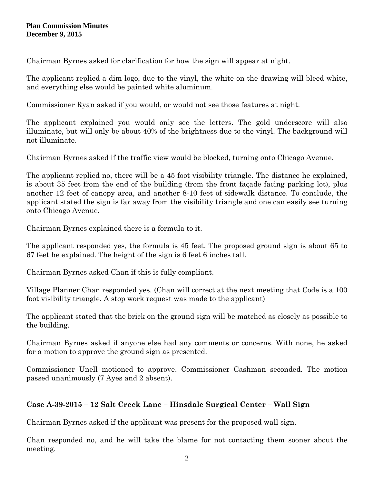Chairman Byrnes asked for clarification for how the sign will appear at night.

The applicant replied a dim logo, due to the vinyl, the white on the drawing will bleed white, and everything else would be painted white aluminum.

Commissioner Ryan asked if you would, or would not see those features at night.

The applicant explained you would only see the letters. The gold underscore will also illuminate, but will only be about 40% of the brightness due to the vinyl. The background will not illuminate.

Chairman Byrnes asked if the traffic view would be blocked, turning onto Chicago Avenue.

The applicant replied no, there will be a 45 foot visibility triangle. The distance he explained, is about 35 feet from the end of the building (from the front façade facing parking lot), plus another 12 feet of canopy area, and another 8-10 feet of sidewalk distance. To conclude, the applicant stated the sign is far away from the visibility triangle and one can easily see turning onto Chicago Avenue.

Chairman Byrnes explained there is a formula to it.

The applicant responded yes, the formula is 45 feet. The proposed ground sign is about 65 to 67 feet he explained. The height of the sign is 6 feet 6 inches tall.

Chairman Byrnes asked Chan if this is fully compliant.

Village Planner Chan responded yes. (Chan will correct at the next meeting that Code is a 100 foot visibility triangle. A stop work request was made to the applicant)

The applicant stated that the brick on the ground sign will be matched as closely as possible to the building.

Chairman Byrnes asked if anyone else had any comments or concerns. With none, he asked for a motion to approve the ground sign as presented.

Commissioner Unell motioned to approve. Commissioner Cashman seconded. The motion passed unanimously (7 Ayes and 2 absent).

# **Case A-39-2015 – 12 Salt Creek Lane – Hinsdale Surgical Center – Wall Sign**

Chairman Byrnes asked if the applicant was present for the proposed wall sign.

Chan responded no, and he will take the blame for not contacting them sooner about the meeting.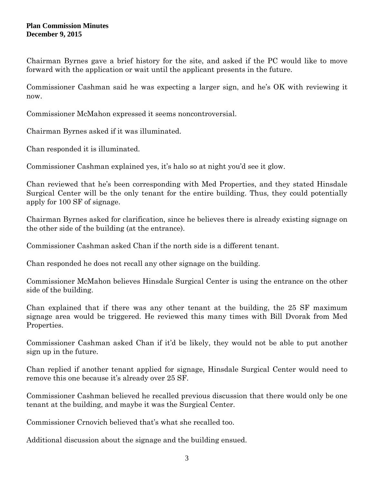Chairman Byrnes gave a brief history for the site, and asked if the PC would like to move forward with the application or wait until the applicant presents in the future.

Commissioner Cashman said he was expecting a larger sign, and he's OK with reviewing it now.

Commissioner McMahon expressed it seems noncontroversial.

Chairman Byrnes asked if it was illuminated.

Chan responded it is illuminated.

Commissioner Cashman explained yes, it's halo so at night you'd see it glow.

Chan reviewed that he's been corresponding with Med Properties, and they stated Hinsdale Surgical Center will be the only tenant for the entire building. Thus, they could potentially apply for 100 SF of signage.

Chairman Byrnes asked for clarification, since he believes there is already existing signage on the other side of the building (at the entrance).

Commissioner Cashman asked Chan if the north side is a different tenant.

Chan responded he does not recall any other signage on the building.

Commissioner McMahon believes Hinsdale Surgical Center is using the entrance on the other side of the building.

Chan explained that if there was any other tenant at the building, the 25 SF maximum signage area would be triggered. He reviewed this many times with Bill Dvorak from Med Properties.

Commissioner Cashman asked Chan if it'd be likely, they would not be able to put another sign up in the future.

Chan replied if another tenant applied for signage, Hinsdale Surgical Center would need to remove this one because it's already over 25 SF.

Commissioner Cashman believed he recalled previous discussion that there would only be one tenant at the building, and maybe it was the Surgical Center.

Commissioner Crnovich believed that's what she recalled too.

Additional discussion about the signage and the building ensued.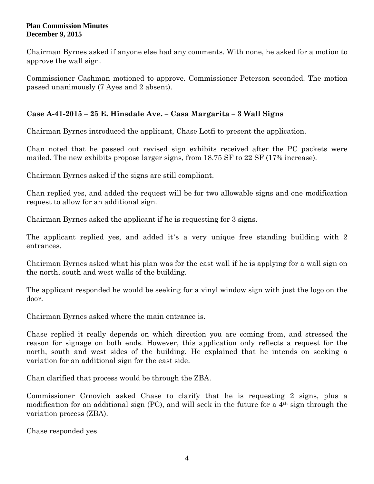Chairman Byrnes asked if anyone else had any comments. With none, he asked for a motion to approve the wall sign.

Commissioner Cashman motioned to approve. Commissioner Peterson seconded. The motion passed unanimously (7 Ayes and 2 absent).

## **Case A-41-2015 – 25 E. Hinsdale Ave. – Casa Margarita – 3 Wall Signs**

Chairman Byrnes introduced the applicant, Chase Lotfi to present the application.

Chan noted that he passed out revised sign exhibits received after the PC packets were mailed. The new exhibits propose larger signs, from 18.75 SF to 22 SF (17% increase).

Chairman Byrnes asked if the signs are still compliant.

Chan replied yes, and added the request will be for two allowable signs and one modification request to allow for an additional sign.

Chairman Byrnes asked the applicant if he is requesting for 3 signs.

The applicant replied yes, and added it's a very unique free standing building with 2 entrances.

Chairman Byrnes asked what his plan was for the east wall if he is applying for a wall sign on the north, south and west walls of the building.

The applicant responded he would be seeking for a vinyl window sign with just the logo on the door.

Chairman Byrnes asked where the main entrance is.

Chase replied it really depends on which direction you are coming from, and stressed the reason for signage on both ends. However, this application only reflects a request for the north, south and west sides of the building. He explained that he intends on seeking a variation for an additional sign for the east side.

Chan clarified that process would be through the ZBA.

Commissioner Crnovich asked Chase to clarify that he is requesting 2 signs, plus a modification for an additional sign (PC), and will seek in the future for a  $4<sup>th</sup>$  sign through the variation process (ZBA).

Chase responded yes.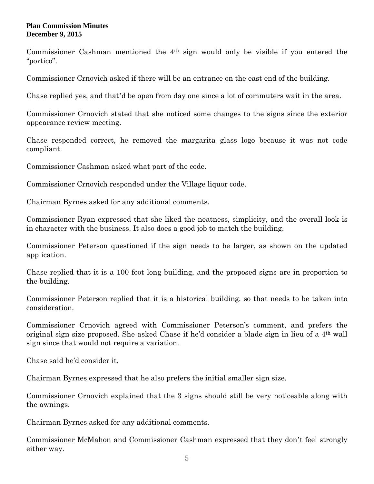Commissioner Cashman mentioned the 4th sign would only be visible if you entered the "portico".

Commissioner Crnovich asked if there will be an entrance on the east end of the building.

Chase replied yes, and that'd be open from day one since a lot of commuters wait in the area.

Commissioner Crnovich stated that she noticed some changes to the signs since the exterior appearance review meeting.

Chase responded correct, he removed the margarita glass logo because it was not code compliant.

Commissioner Cashman asked what part of the code.

Commissioner Crnovich responded under the Village liquor code.

Chairman Byrnes asked for any additional comments.

Commissioner Ryan expressed that she liked the neatness, simplicity, and the overall look is in character with the business. It also does a good job to match the building.

Commissioner Peterson questioned if the sign needs to be larger, as shown on the updated application.

Chase replied that it is a 100 foot long building, and the proposed signs are in proportion to the building.

Commissioner Peterson replied that it is a historical building, so that needs to be taken into consideration.

Commissioner Crnovich agreed with Commissioner Peterson's comment, and prefers the original sign size proposed. She asked Chase if he'd consider a blade sign in lieu of a 4th wall sign since that would not require a variation.

Chase said he'd consider it.

Chairman Byrnes expressed that he also prefers the initial smaller sign size.

Commissioner Crnovich explained that the 3 signs should still be very noticeable along with the awnings.

Chairman Byrnes asked for any additional comments.

Commissioner McMahon and Commissioner Cashman expressed that they don't feel strongly either way.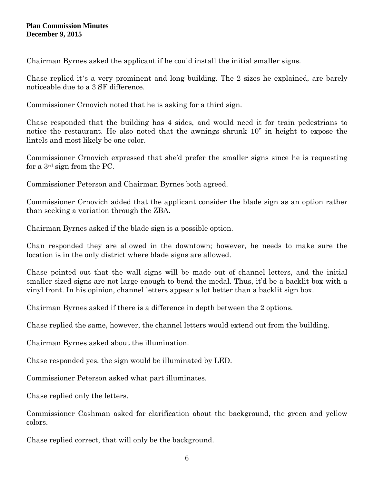Chairman Byrnes asked the applicant if he could install the initial smaller signs.

Chase replied it's a very prominent and long building. The 2 sizes he explained, are barely noticeable due to a 3 SF difference.

Commissioner Crnovich noted that he is asking for a third sign.

Chase responded that the building has 4 sides, and would need it for train pedestrians to notice the restaurant. He also noted that the awnings shrunk 10" in height to expose the lintels and most likely be one color.

Commissioner Crnovich expressed that she'd prefer the smaller signs since he is requesting for a 3rd sign from the PC.

Commissioner Peterson and Chairman Byrnes both agreed.

Commissioner Crnovich added that the applicant consider the blade sign as an option rather than seeking a variation through the ZBA.

Chairman Byrnes asked if the blade sign is a possible option.

Chan responded they are allowed in the downtown; however, he needs to make sure the location is in the only district where blade signs are allowed.

Chase pointed out that the wall signs will be made out of channel letters, and the initial smaller sized signs are not large enough to bend the medal. Thus, it'd be a backlit box with a vinyl front. In his opinion, channel letters appear a lot better than a backlit sign box.

Chairman Byrnes asked if there is a difference in depth between the 2 options.

Chase replied the same, however, the channel letters would extend out from the building.

Chairman Byrnes asked about the illumination.

Chase responded yes, the sign would be illuminated by LED.

Commissioner Peterson asked what part illuminates.

Chase replied only the letters.

Commissioner Cashman asked for clarification about the background, the green and yellow colors.

Chase replied correct, that will only be the background.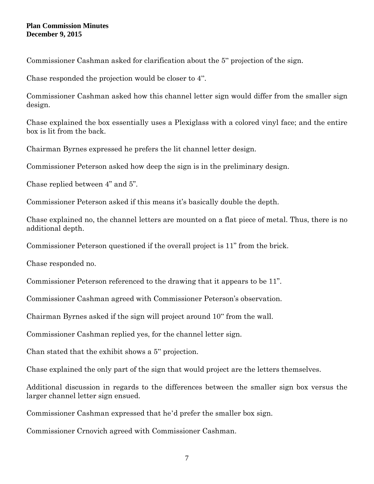Commissioner Cashman asked for clarification about the 5" projection of the sign.

Chase responded the projection would be closer to 4".

Commissioner Cashman asked how this channel letter sign would differ from the smaller sign design.

Chase explained the box essentially uses a Plexiglass with a colored vinyl face; and the entire box is lit from the back.

Chairman Byrnes expressed he prefers the lit channel letter design.

Commissioner Peterson asked how deep the sign is in the preliminary design.

Chase replied between 4" and 5".

Commissioner Peterson asked if this means it's basically double the depth.

Chase explained no, the channel letters are mounted on a flat piece of metal. Thus, there is no additional depth.

Commissioner Peterson questioned if the overall project is 11" from the brick.

Chase responded no.

Commissioner Peterson referenced to the drawing that it appears to be 11".

Commissioner Cashman agreed with Commissioner Peterson's observation.

Chairman Byrnes asked if the sign will project around 10" from the wall.

Commissioner Cashman replied yes, for the channel letter sign.

Chan stated that the exhibit shows a 5" projection.

Chase explained the only part of the sign that would project are the letters themselves.

Additional discussion in regards to the differences between the smaller sign box versus the larger channel letter sign ensued.

Commissioner Cashman expressed that he'd prefer the smaller box sign.

Commissioner Crnovich agreed with Commissioner Cashman.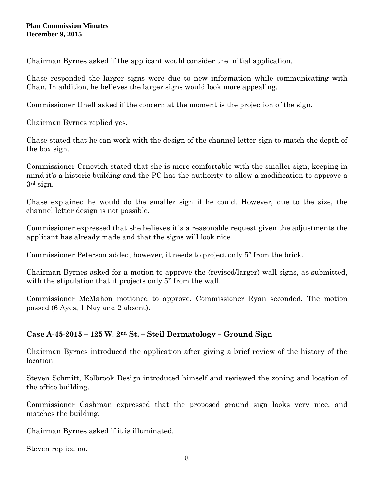Chairman Byrnes asked if the applicant would consider the initial application.

Chase responded the larger signs were due to new information while communicating with Chan. In addition, he believes the larger signs would look more appealing.

Commissioner Unell asked if the concern at the moment is the projection of the sign.

Chairman Byrnes replied yes.

Chase stated that he can work with the design of the channel letter sign to match the depth of the box sign.

Commissioner Crnovich stated that she is more comfortable with the smaller sign, keeping in mind it's a historic building and the PC has the authority to allow a modification to approve a 3rd sign.

Chase explained he would do the smaller sign if he could. However, due to the size, the channel letter design is not possible.

Commissioner expressed that she believes it's a reasonable request given the adjustments the applicant has already made and that the signs will look nice.

Commissioner Peterson added, however, it needs to project only 5" from the brick.

Chairman Byrnes asked for a motion to approve the (revised/larger) wall signs, as submitted, with the stipulation that it projects only 5" from the wall.

Commissioner McMahon motioned to approve. Commissioner Ryan seconded. The motion passed (6 Ayes, 1 Nay and 2 absent).

# **Case A-45-2015 – 125 W. 2nd St. – Steil Dermatology – Ground Sign**

Chairman Byrnes introduced the application after giving a brief review of the history of the location.

Steven Schmitt, Kolbrook Design introduced himself and reviewed the zoning and location of the office building.

Commissioner Cashman expressed that the proposed ground sign looks very nice, and matches the building.

Chairman Byrnes asked if it is illuminated.

Steven replied no.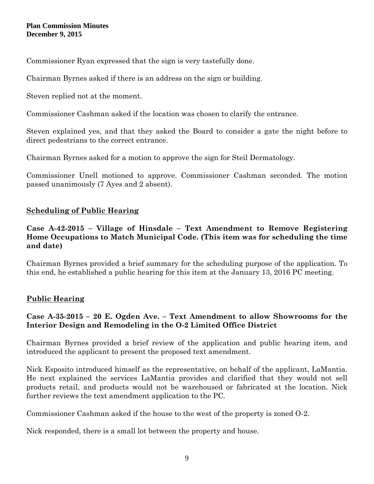Commissioner Ryan expressed that the sign is very tastefully done.

Chairman Byrnes asked if there is an address on the sign or building.

Steven replied not at the moment.

Commissioner Cashman asked if the location was chosen to clarify the entrance.

Steven explained yes, and that they asked the Board to consider a gate the night before to direct pedestrians to the correct entrance.

Chairman Byrnes asked for a motion to approve the sign for Steil Dermatology.

Commissioner Unell motioned to approve. Commissioner Cashman seconded. The motion passed unanimously (7 Ayes and 2 absent).

## **Scheduling of Public Hearing**

### **Case A-42-2015 – Village of Hinsdale – Text Amendment to Remove Registering Home Occupations to Match Municipal Code. (This item was for scheduling the time and date)**

Chairman Byrnes provided a brief summary for the scheduling purpose of the application. To this end, he established a public hearing for this item at the January 13, 2016 PC meeting.

# **Public Hearing**

## **Case A-35-2015 – 20 E. Ogden Ave. – Text Amendment to allow Showrooms for the Interior Design and Remodeling in the O-2 Limited Office District**

Chairman Byrnes provided a brief review of the application and public hearing item, and introduced the applicant to present the proposed text amendment.

Nick Esposito introduced himself as the representative, on behalf of the applicant, LaMantia. He next explained the services LaMantia provides and clarified that they would not sell products retail, and products would not be warehoused or fabricated at the location. Nick further reviews the text amendment application to the PC.

Commissioner Cashman asked if the house to the west of the property is zoned O-2.

Nick responded, there is a small lot between the property and house.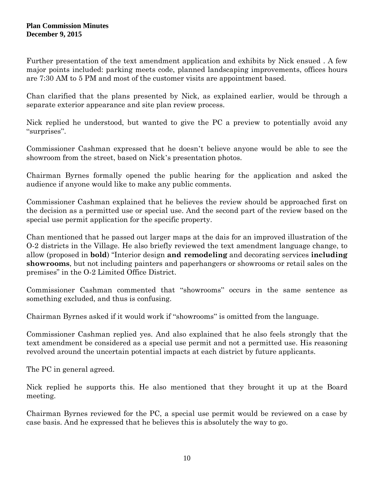Further presentation of the text amendment application and exhibits by Nick ensued . A few major points included: parking meets code, planned landscaping improvements, offices hours are 7:30 AM to 5 PM and most of the customer visits are appointment based.

Chan clarified that the plans presented by Nick, as explained earlier, would be through a separate exterior appearance and site plan review process.

Nick replied he understood, but wanted to give the PC a preview to potentially avoid any "surprises".

Commissioner Cashman expressed that he doesn't believe anyone would be able to see the showroom from the street, based on Nick's presentation photos.

Chairman Byrnes formally opened the public hearing for the application and asked the audience if anyone would like to make any public comments.

Commissioner Cashman explained that he believes the review should be approached first on the decision as a permitted use or special use. And the second part of the review based on the special use permit application for the specific property.

Chan mentioned that he passed out larger maps at the dais for an improved illustration of the O-2 districts in the Village. He also briefly reviewed the text amendment language change, to allow (proposed in **bold**) "Interior design **and remodeling** and decorating services **including showrooms**, but not including painters and paperhangers or showrooms or retail sales on the premises" in the O-2 Limited Office District.

Commissioner Cashman commented that "showrooms" occurs in the same sentence as something excluded, and thus is confusing.

Chairman Byrnes asked if it would work if "showrooms" is omitted from the language.

Commissioner Cashman replied yes. And also explained that he also feels strongly that the text amendment be considered as a special use permit and not a permitted use. His reasoning revolved around the uncertain potential impacts at each district by future applicants.

The PC in general agreed.

Nick replied he supports this. He also mentioned that they brought it up at the Board meeting.

Chairman Byrnes reviewed for the PC, a special use permit would be reviewed on a case by case basis. And he expressed that he believes this is absolutely the way to go.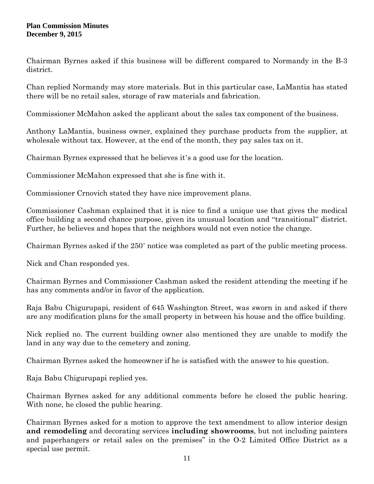Chairman Byrnes asked if this business will be different compared to Normandy in the B-3 district.

Chan replied Normandy may store materials. But in this particular case, LaMantia has stated there will be no retail sales, storage of raw materials and fabrication.

Commissioner McMahon asked the applicant about the sales tax component of the business.

Anthony LaMantia, business owner, explained they purchase products from the supplier, at wholesale without tax. However, at the end of the month, they pay sales tax on it.

Chairman Byrnes expressed that he believes it's a good use for the location.

Commissioner McMahon expressed that she is fine with it.

Commissioner Crnovich stated they have nice improvement plans.

Commissioner Cashman explained that it is nice to find a unique use that gives the medical office building a second chance purpose, given its unusual location and "transitional" district. Further, he believes and hopes that the neighbors would not even notice the change.

Chairman Byrnes asked if the 250' notice was completed as part of the public meeting process.

Nick and Chan responded yes.

Chairman Byrnes and Commissioner Cashman asked the resident attending the meeting if he has any comments and/or in favor of the application.

Raja Babu Chigurupapi, resident of 645 Washington Street, was sworn in and asked if there are any modification plans for the small property in between his house and the office building.

Nick replied no. The current building owner also mentioned they are unable to modify the land in any way due to the cemetery and zoning.

Chairman Byrnes asked the homeowner if he is satisfied with the answer to his question.

Raja Babu Chigurupapi replied yes.

Chairman Byrnes asked for any additional comments before he closed the public hearing. With none, he closed the public hearing.

Chairman Byrnes asked for a motion to approve the text amendment to allow interior design **and remodeling** and decorating services **including showrooms**, but not including painters and paperhangers or retail sales on the premises" in the O-2 Limited Office District as a special use permit.